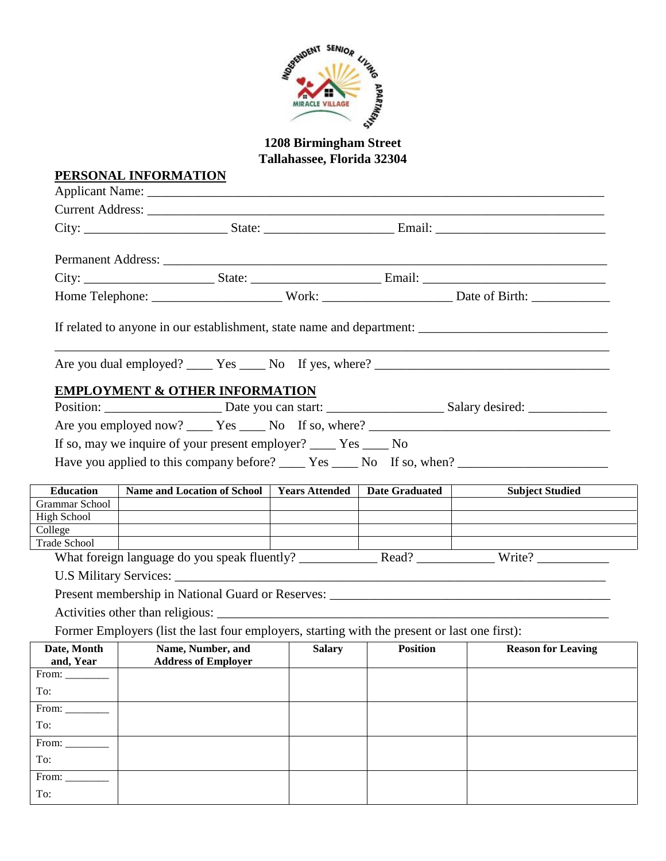

**1208 Birmingham Street Tallahassee, Florida 32304**

|                        | PERSONAL INFORMATION                                                                                 |                                                                            |                 |                           |
|------------------------|------------------------------------------------------------------------------------------------------|----------------------------------------------------------------------------|-----------------|---------------------------|
|                        |                                                                                                      |                                                                            |                 |                           |
|                        |                                                                                                      |                                                                            |                 |                           |
|                        |                                                                                                      |                                                                            |                 |                           |
|                        |                                                                                                      |                                                                            |                 |                           |
|                        |                                                                                                      |                                                                            |                 |                           |
|                        |                                                                                                      |                                                                            |                 |                           |
|                        | If related to anyone in our establishment, state name and department: ______________________________ |                                                                            |                 |                           |
|                        |                                                                                                      |                                                                            |                 |                           |
|                        | <b>EMPLOYMENT &amp; OTHER INFORMATION</b>                                                            |                                                                            |                 |                           |
|                        |                                                                                                      |                                                                            |                 |                           |
|                        | If so, may we inquire of your present employer? _____ Yes _____ No                                   |                                                                            |                 |                           |
|                        |                                                                                                      |                                                                            |                 |                           |
| <b>Education</b>       | Name and Location of School   Years Attended   Date Graduated                                        |                                                                            |                 | <b>Subject Studied</b>    |
| Grammar School         |                                                                                                      |                                                                            |                 |                           |
| High School<br>College |                                                                                                      |                                                                            |                 |                           |
| Trade School           |                                                                                                      |                                                                            |                 |                           |
|                        |                                                                                                      |                                                                            |                 |                           |
|                        |                                                                                                      |                                                                            |                 |                           |
|                        |                                                                                                      |                                                                            |                 |                           |
|                        |                                                                                                      |                                                                            |                 |                           |
|                        | Former Employers (list the last four employers, starting with the present or last one first):        |                                                                            |                 |                           |
| and, Year              | Date, Month   Name, Number, and<br><b>Address of Employer</b>                                        | Salary  <br>$\overline{\phantom{a}}$ . The set of $\overline{\phantom{a}}$ | <b>Position</b> | <b>Reason for Leaving</b> |
| From:                  |                                                                                                      |                                                                            |                 |                           |
| To:                    |                                                                                                      |                                                                            |                 |                           |
|                        |                                                                                                      |                                                                            |                 |                           |
|                        |                                                                                                      |                                                                            |                 |                           |
| From:<br>To:           |                                                                                                      |                                                                            |                 |                           |
| From: $\_\_$           |                                                                                                      |                                                                            |                 |                           |
| To:                    |                                                                                                      |                                                                            |                 |                           |
| From: $\_\_$           |                                                                                                      |                                                                            |                 |                           |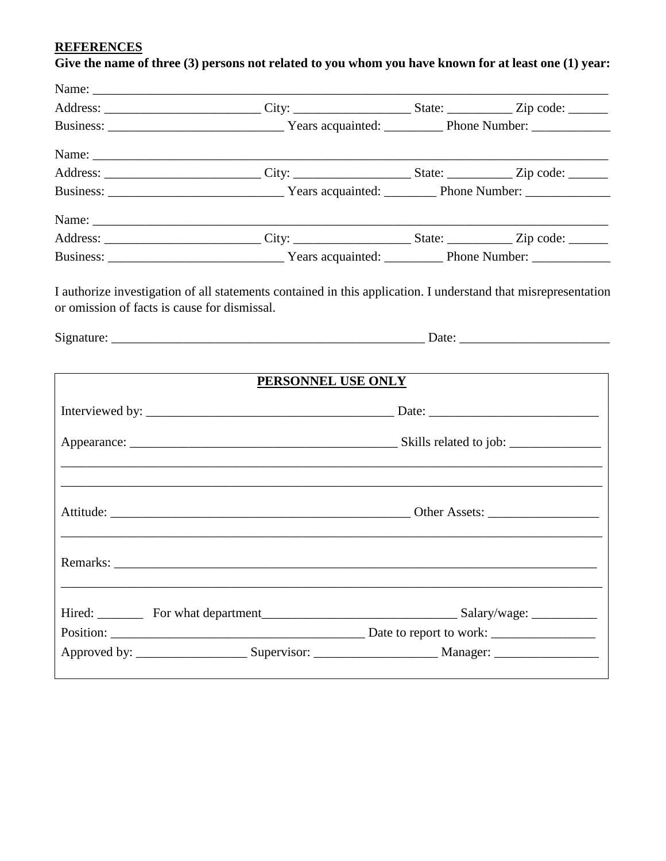#### **REFERENCES**

# Give the name of three (3) persons not related to you whom you have known for at least one (1) year:

I authorize investigation of all statements contained in this application. I understand that misrepresentation or omission of facts is cause for dismissal.

| PERSONNEL USE ONLY |  |  |  |  |
|--------------------|--|--|--|--|
|                    |  |  |  |  |
|                    |  |  |  |  |
|                    |  |  |  |  |
|                    |  |  |  |  |
|                    |  |  |  |  |
|                    |  |  |  |  |
|                    |  |  |  |  |
|                    |  |  |  |  |
|                    |  |  |  |  |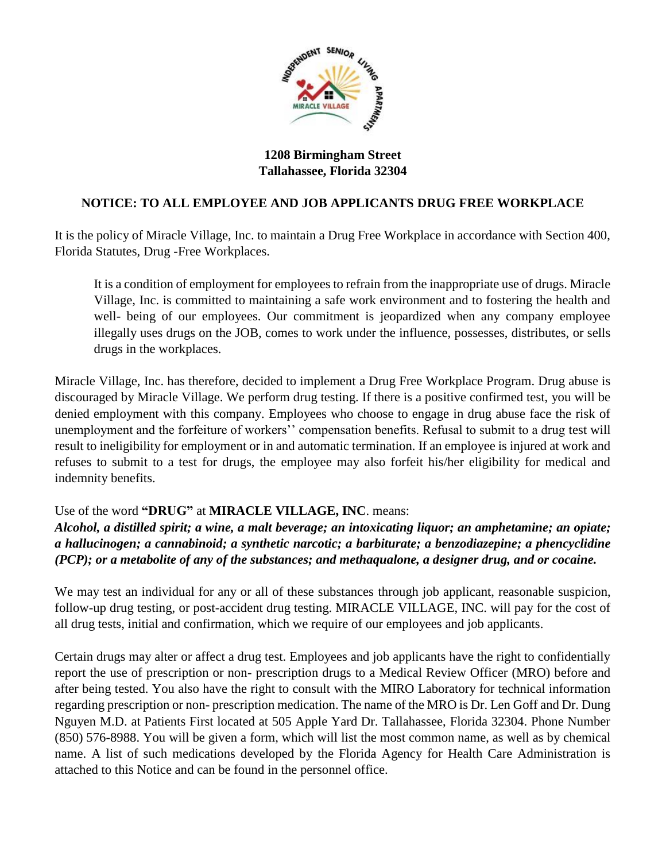

### **1208 Birmingham Street Tallahassee, Florida 32304**

## **NOTICE: TO ALL EMPLOYEE AND JOB APPLICANTS DRUG FREE WORKPLACE**

It is the policy of Miracle Village, Inc. to maintain a Drug Free Workplace in accordance with Section 400, Florida Statutes, Drug -Free Workplaces.

It is a condition of employment for employees to refrain from the inappropriate use of drugs. Miracle Village, Inc. is committed to maintaining a safe work environment and to fostering the health and well- being of our employees. Our commitment is jeopardized when any company employee illegally uses drugs on the JOB, comes to work under the influence, possesses, distributes, or sells drugs in the workplaces.

Miracle Village, Inc. has therefore, decided to implement a Drug Free Workplace Program. Drug abuse is discouraged by Miracle Village. We perform drug testing. If there is a positive confirmed test, you will be denied employment with this company. Employees who choose to engage in drug abuse face the risk of unemployment and the forfeiture of workers'' compensation benefits. Refusal to submit to a drug test will result to ineligibility for employment or in and automatic termination. If an employee is injured at work and refuses to submit to a test for drugs, the employee may also forfeit his/her eligibility for medical and indemnity benefits.

### Use of the word **"DRUG"** at **MIRACLE VILLAGE, INC**. means:

*Alcohol, a distilled spirit; a wine, a malt beverage; an intoxicating liquor; an amphetamine; an opiate; a hallucinogen; a cannabinoid; a synthetic narcotic; a barbiturate; a benzodiazepine; a phencyclidine (PCP); or a metabolite of any of the substances; and methaqualone, a designer drug, and or cocaine.*

We may test an individual for any or all of these substances through job applicant, reasonable suspicion, follow-up drug testing, or post-accident drug testing. MIRACLE VILLAGE, INC. will pay for the cost of all drug tests, initial and confirmation, which we require of our employees and job applicants.

Certain drugs may alter or affect a drug test. Employees and job applicants have the right to confidentially report the use of prescription or non- prescription drugs to a Medical Review Officer (MRO) before and after being tested. You also have the right to consult with the MIRO Laboratory for technical information regarding prescription or non- prescription medication. The name of the MRO is Dr. Len Goff and Dr. Dung Nguyen M.D. at Patients First located at 505 Apple Yard Dr. Tallahassee, Florida 32304. Phone Number (850) 576-8988. You will be given a form, which will list the most common name, as well as by chemical name. A list of such medications developed by the Florida Agency for Health Care Administration is attached to this Notice and can be found in the personnel office.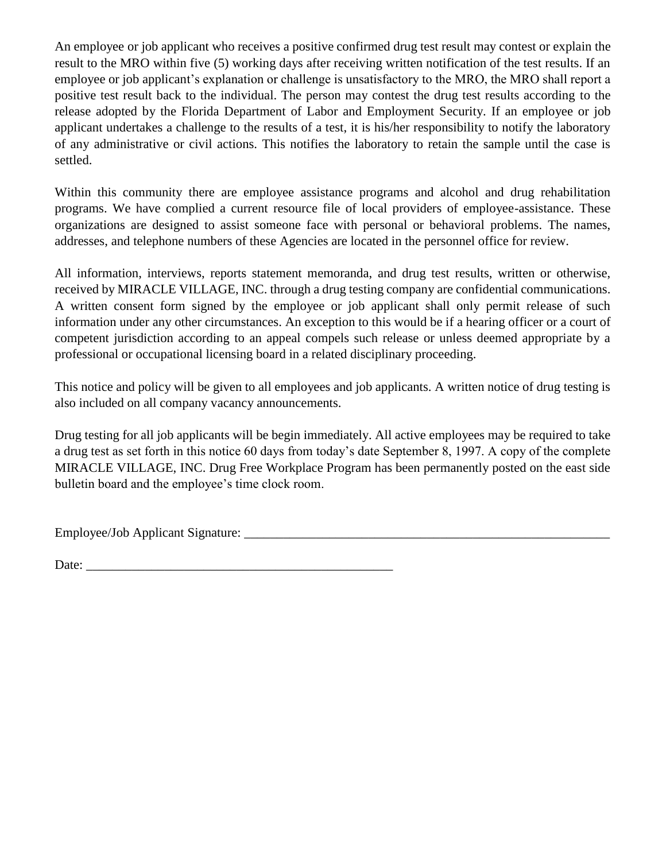An employee or job applicant who receives a positive confirmed drug test result may contest or explain the result to the MRO within five (5) working days after receiving written notification of the test results. If an employee or job applicant's explanation or challenge is unsatisfactory to the MRO, the MRO shall report a positive test result back to the individual. The person may contest the drug test results according to the release adopted by the Florida Department of Labor and Employment Security. If an employee or job applicant undertakes a challenge to the results of a test, it is his/her responsibility to notify the laboratory of any administrative or civil actions. This notifies the laboratory to retain the sample until the case is settled.

Within this community there are employee assistance programs and alcohol and drug rehabilitation programs. We have complied a current resource file of local providers of employee-assistance. These organizations are designed to assist someone face with personal or behavioral problems. The names, addresses, and telephone numbers of these Agencies are located in the personnel office for review.

All information, interviews, reports statement memoranda, and drug test results, written or otherwise, received by MIRACLE VILLAGE, INC. through a drug testing company are confidential communications. A written consent form signed by the employee or job applicant shall only permit release of such information under any other circumstances. An exception to this would be if a hearing officer or a court of competent jurisdiction according to an appeal compels such release or unless deemed appropriate by a professional or occupational licensing board in a related disciplinary proceeding.

This notice and policy will be given to all employees and job applicants. A written notice of drug testing is also included on all company vacancy announcements.

Drug testing for all job applicants will be begin immediately. All active employees may be required to take a drug test as set forth in this notice 60 days from today's date September 8, 1997. A copy of the complete MIRACLE VILLAGE, INC. Drug Free Workplace Program has been permanently posted on the east side bulletin board and the employee's time clock room.

Employee/Job Applicant Signature: \_\_\_\_\_\_\_\_\_\_\_\_\_\_\_\_\_\_\_\_\_\_\_\_\_\_\_\_\_\_\_\_\_\_\_\_\_\_\_\_\_\_\_\_\_\_\_\_\_\_\_\_\_\_\_\_

Date: \_\_\_\_\_\_\_\_\_\_\_\_\_\_\_\_\_\_\_\_\_\_\_\_\_\_\_\_\_\_\_\_\_\_\_\_\_\_\_\_\_\_\_\_\_\_\_